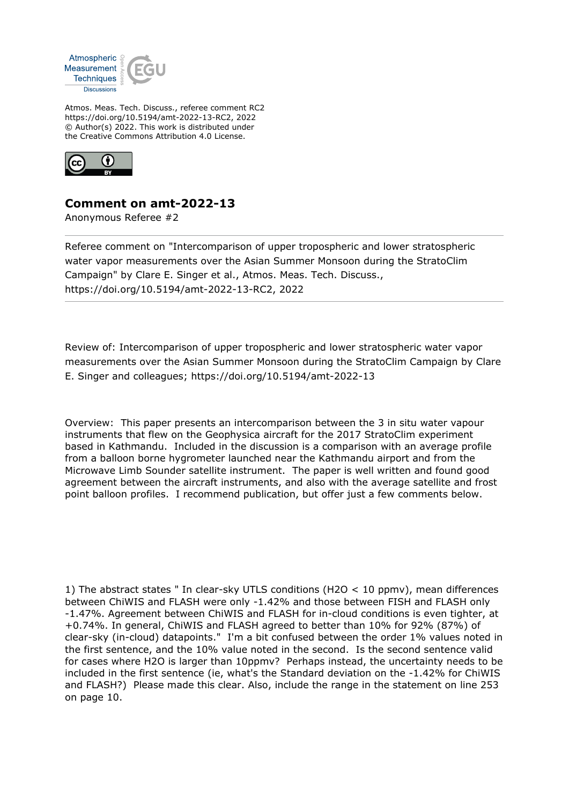

Atmos. Meas. Tech. Discuss., referee comment RC2 https://doi.org/10.5194/amt-2022-13-RC2, 2022 © Author(s) 2022. This work is distributed under the Creative Commons Attribution 4.0 License.



## **Comment on amt-2022-13**

Anonymous Referee #2

Referee comment on "Intercomparison of upper tropospheric and lower stratospheric water vapor measurements over the Asian Summer Monsoon during the StratoClim Campaign" by Clare E. Singer et al., Atmos. Meas. Tech. Discuss., https://doi.org/10.5194/amt-2022-13-RC2, 2022

Review of: Intercomparison of upper tropospheric and lower stratospheric water vapor measurements over the Asian Summer Monsoon during the StratoClim Campaign by Clare E. Singer and colleagues; https://doi.org/10.5194/amt-2022-13

Overview: This paper presents an intercomparison between the 3 in situ water vapour instruments that flew on the Geophysica aircraft for the 2017 StratoClim experiment based in Kathmandu. Included in the discussion is a comparison with an average profile from a balloon borne hygrometer launched near the Kathmandu airport and from the Microwave Limb Sounder satellite instrument. The paper is well written and found good agreement between the aircraft instruments, and also with the average satellite and frost point balloon profiles. I recommend publication, but offer just a few comments below.

1) The abstract states " In clear-sky UTLS conditions (H2O < 10 ppmv), mean differences between ChiWIS and FLASH were only -1.42% and those between FISH and FLASH only -1.47%. Agreement between ChiWIS and FLASH for in-cloud conditions is even tighter, at +0.74%. In general, ChiWIS and FLASH agreed to better than 10% for 92% (87%) of clear-sky (in-cloud) datapoints." I'm a bit confused between the order 1% values noted in the first sentence, and the 10% value noted in the second. Is the second sentence valid for cases where H2O is larger than 10ppmv? Perhaps instead, the uncertainty needs to be included in the first sentence (ie, what's the Standard deviation on the -1.42% for ChiWIS and FLASH?) Please made this clear. Also, include the range in the statement on line 253 on page 10.